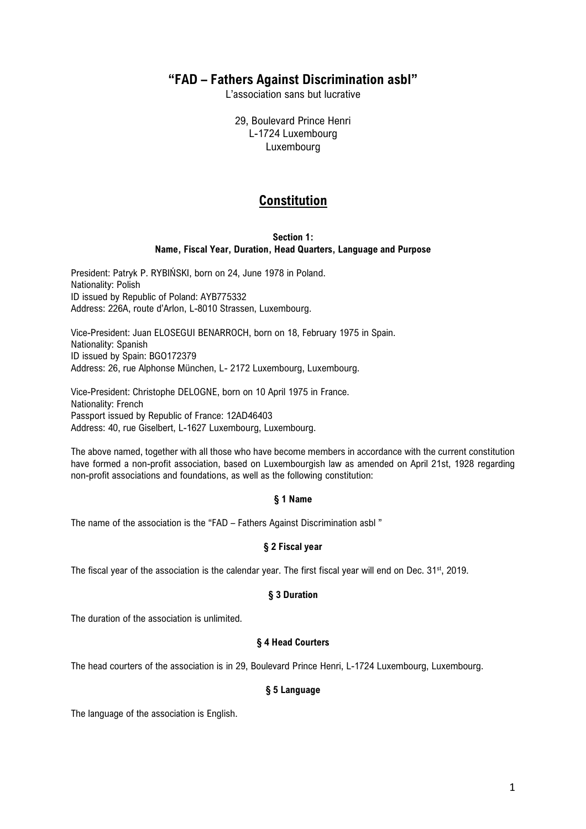# **"FAD – Fathers Against Discrimination asbl"**

L'association sans but lucrative

29, Boulevard Prince Henri L-1724 Luxembourg Luxembourg

# **Constitution**

### **Section 1: Name, Fiscal Year, Duration, Head Quarters, Language and Purpose**

President: Patryk P. RYBIŃSKI, born on 24, June 1978 in Poland. Nationality: Polish ID issued by Republic of Poland: AYB775332 Address: 226A, route d'Arlon, L-8010 Strassen, Luxembourg.

Vice-President: Juan ELOSEGUI BENARROCH, born on 18, February 1975 in Spain. Nationality: Spanish ID issued by Spain: BGO172379 Address: 26, rue Alphonse München, L- 2172 Luxembourg, Luxembourg.

Vice-President: Christophe DELOGNE, born on 10 April 1975 in France. Nationality: French Passport issued by Republic of France: 12AD46403 Address: 40, rue Giselbert, L-1627 Luxembourg, Luxembourg.

The above named, together with all those who have become members in accordance with the current constitution have formed a non-profit association, based on Luxembourgish law as amended on April 21st, 1928 regarding non-profit associations and foundations, as well as the following constitution:

# **§ 1 Name**

The name of the association is the "FAD – Fathers Against Discrimination asbl "

# **§ 2 Fiscal year**

The fiscal year of the association is the calendar year. The first fiscal year will end on Dec. 31<sup>st</sup>, 2019.

# **§ 3 Duration**

The duration of the association is unlimited.

# **§ 4 Head Courters**

The head courters of the association is in 29, Boulevard Prince Henri, L-1724 Luxembourg, Luxembourg.

# **§ 5 Language**

The language of the association is English.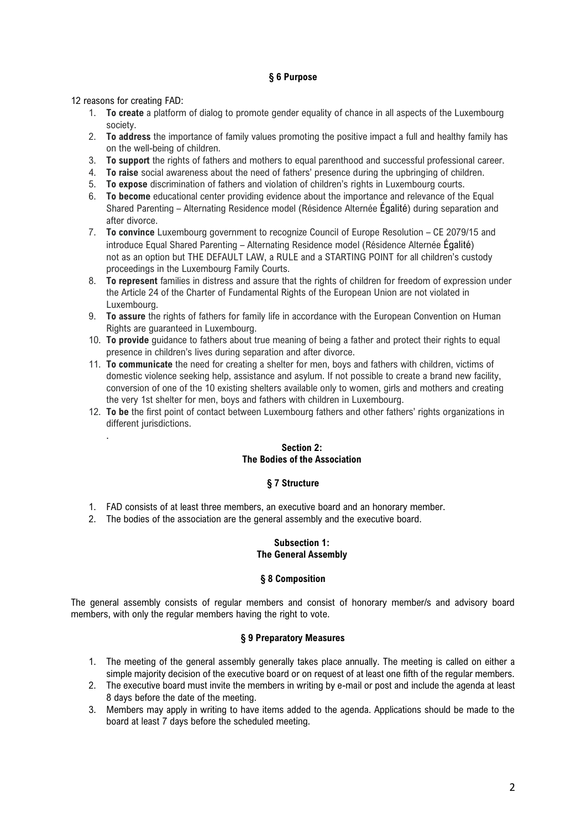# **§ 6 Purpose**

12 reasons for creating FAD:

.

- 1. **To create** a platform of dialog to promote gender equality of chance in all aspects of the Luxembourg society.
- 2. **To address** the importance of family values promoting the positive impact a full and healthy family has on the well-being of children.
- 3. **To support** the rights of fathers and mothers to equal parenthood and successful professional career.
- 4. **To raise** social awareness about the need of fathers' presence during the upbringing of children.
- 5. **To expose** discrimination of fathers and violation of children's rights in Luxembourg courts.
- 6. **To become** educational center providing evidence about the importance and relevance of the Equal Shared Parenting – Alternating Residence model (Résidence Alternée Égalité) during separation and after divorce.
- 7. **To convince** Luxembourg government to recognize Council of Europe Resolution CE 2079/15 and introduce Equal Shared Parenting – Alternating Residence model (Résidence Alternée Égalité) not as an option but THE DEFAULT LAW, a RULE and a STARTING POINT for all children's custody proceedings in the Luxembourg Family Courts.
- 8. **To represent** families in distress and assure that the rights of children for freedom of expression under the Article 24 of the Charter of Fundamental Rights of the European Union are not violated in Luxembourg.
- 9. **To assure** the rights of fathers for family life in accordance with the European Convention on Human Rights are guaranteed in Luxembourg.
- 10. **To provide** guidance to fathers about true meaning of being a father and protect their rights to equal presence in children's lives during separation and after divorce.
- 11. **To communicate** the need for creating a shelter for men, boys and fathers with children, victims of domestic violence seeking help, assistance and asylum. If not possible to create a brand new facility, conversion of one of the 10 existing shelters available only to women, girls and mothers and creating the very 1st shelter for men, boys and fathers with children in Luxembourg.
- 12. **To be** the first point of contact between Luxembourg fathers and other fathers' rights organizations in different jurisdictions.

# **Section 2: The Bodies of the Association**

# **§ 7 Structure**

- 1. FAD consists of at least three members, an executive board and an honorary member.
- 2. The bodies of the association are the general assembly and the executive board.

### **Subsection 1: The General Assembly**

### **§ 8 Composition**

The general assembly consists of regular members and consist of honorary member/s and advisory board members, with only the regular members having the right to vote.

# **§ 9 Preparatory Measures**

- 1. The meeting of the general assembly generally takes place annually. The meeting is called on either a simple majority decision of the executive board or on request of at least one fifth of the regular members.
- 2. The executive board must invite the members in writing by e-mail or post and include the agenda at least 8 days before the date of the meeting.
- 3. Members may apply in writing to have items added to the agenda. Applications should be made to the board at least 7 days before the scheduled meeting.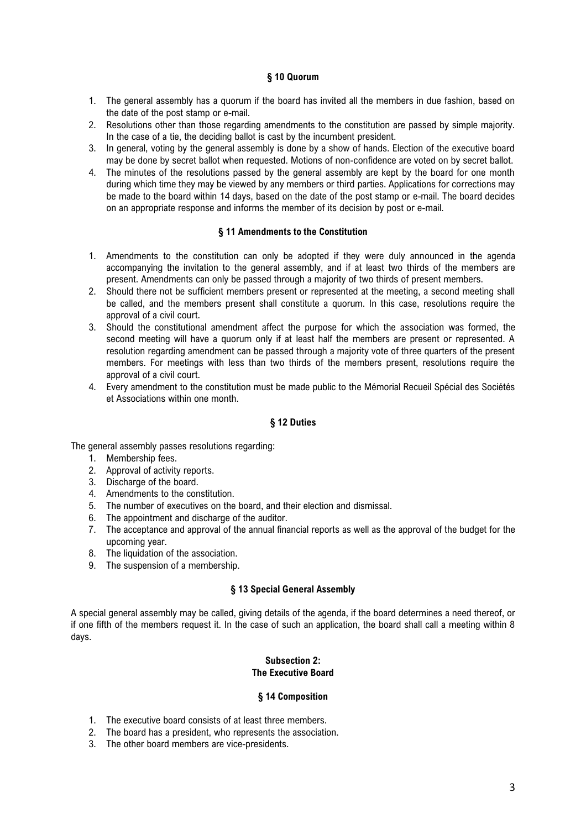### **§ 10 Quorum**

- 1. The general assembly has a quorum if the board has invited all the members in due fashion, based on the date of the post stamp or e-mail.
- 2. Resolutions other than those regarding amendments to the constitution are passed by simple majority. In the case of a tie, the deciding ballot is cast by the incumbent president.
- 3. In general, voting by the general assembly is done by a show of hands. Election of the executive board may be done by secret ballot when requested. Motions of non-confidence are voted on by secret ballot.
- 4. The minutes of the resolutions passed by the general assembly are kept by the board for one month during which time they may be viewed by any members or third parties. Applications for corrections may be made to the board within 14 days, based on the date of the post stamp or e-mail. The board decides on an appropriate response and informs the member of its decision by post or e-mail.

### **§ 11 Amendments to the Constitution**

- 1. Amendments to the constitution can only be adopted if they were duly announced in the agenda accompanying the invitation to the general assembly, and if at least two thirds of the members are present. Amendments can only be passed through a majority of two thirds of present members.
- 2. Should there not be sufficient members present or represented at the meeting, a second meeting shall be called, and the members present shall constitute a quorum. In this case, resolutions require the approval of a civil court.
- 3. Should the constitutional amendment affect the purpose for which the association was formed, the second meeting will have a quorum only if at least half the members are present or represented. A resolution regarding amendment can be passed through a majority vote of three quarters of the present members. For meetings with less than two thirds of the members present, resolutions require the approval of a civil court.
- 4. Every amendment to the constitution must be made public to the Mémorial Recueil Spécial des Sociétés et Associations within one month.

# **§ 12 Duties**

The general assembly passes resolutions regarding:

- 1. Membership fees.
- 2. Approval of activity reports.
- 3. Discharge of the board.
- 4. Amendments to the constitution.
- 5. The number of executives on the board, and their election and dismissal.
- 6. The appointment and discharge of the auditor.
- 7. The acceptance and approval of the annual financial reports as well as the approval of the budget for the upcoming year.
- 8. The liquidation of the association.
- 9. The suspension of a membership.

### **§ 13 Special General Assembly**

A special general assembly may be called, giving details of the agenda, if the board determines a need thereof, or if one fifth of the members request it. In the case of such an application, the board shall call a meeting within 8 days.

### **Subsection 2: The Executive Board**

### **§ 14 Composition**

- 1. The executive board consists of at least three members.
- 2. The board has a president, who represents the association.
- 3. The other board members are vice-presidents.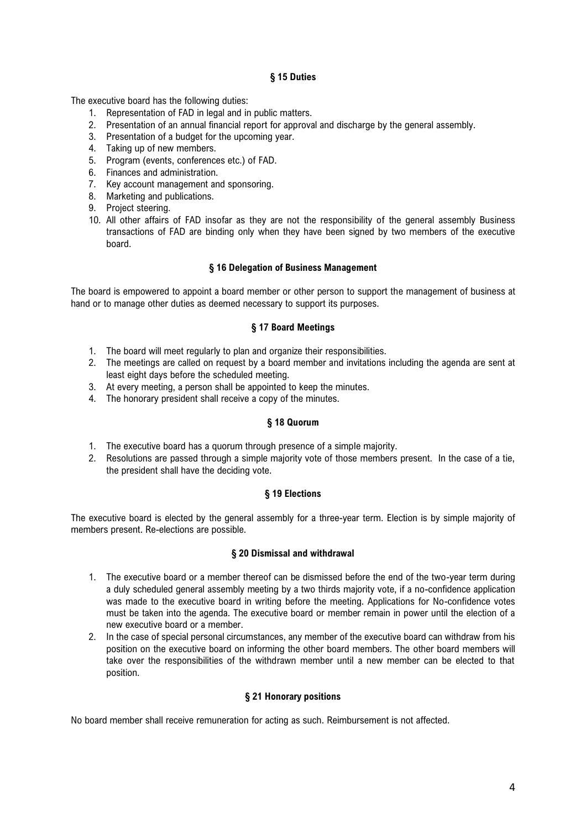# **§ 15 Duties**

The executive board has the following duties:

- 1. Representation of FAD in legal and in public matters.
- 2. Presentation of an annual financial report for approval and discharge by the general assembly.
- 3. Presentation of a budget for the upcoming year.
- 4. Taking up of new members.
- 5. Program (events, conferences etc.) of FAD.
- 6. Finances and administration.
- 7. Key account management and sponsoring.
- 8. Marketing and publications.
- 9. Project steering.
- 10. All other affairs of FAD insofar as they are not the responsibility of the general assembly Business transactions of FAD are binding only when they have been signed by two members of the executive board.

### **§ 16 Delegation of Business Management**

The board is empowered to appoint a board member or other person to support the management of business at hand or to manage other duties as deemed necessary to support its purposes.

### **§ 17 Board Meetings**

- 1. The board will meet regularly to plan and organize their responsibilities.
- 2. The meetings are called on request by a board member and invitations including the agenda are sent at least eight days before the scheduled meeting.
- 3. At every meeting, a person shall be appointed to keep the minutes.
- 4. The honorary president shall receive a copy of the minutes.

### **§ 18 Quorum**

- 1. The executive board has a quorum through presence of a simple majority.
- 2. Resolutions are passed through a simple majority vote of those members present. In the case of a tie, the president shall have the deciding vote.

### **§ 19 Elections**

The executive board is elected by the general assembly for a three-year term. Election is by simple majority of members present. Re-elections are possible.

### **§ 20 Dismissal and withdrawal**

- 1. The executive board or a member thereof can be dismissed before the end of the two-year term during a duly scheduled general assembly meeting by a two thirds majority vote, if a no-confidence application was made to the executive board in writing before the meeting. Applications for No-confidence votes must be taken into the agenda. The executive board or member remain in power until the election of a new executive board or a member.
- 2. In the case of special personal circumstances, any member of the executive board can withdraw from his position on the executive board on informing the other board members. The other board members will take over the responsibilities of the withdrawn member until a new member can be elected to that position.

# **§ 21 Honorary positions**

No board member shall receive remuneration for acting as such. Reimbursement is not affected.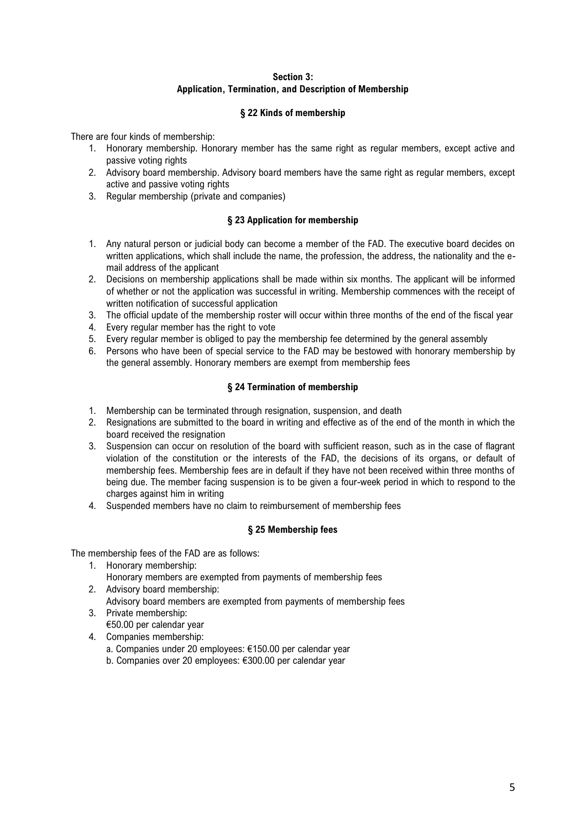# **Section 3: Application, Termination, and Description of Membership**

# **§ 22 Kinds of membership**

There are four kinds of membership:

- 1. Honorary membership. Honorary member has the same right as regular members, except active and passive voting rights
- 2. Advisory board membership. Advisory board members have the same right as regular members, except active and passive voting rights
- 3. Regular membership (private and companies)

# **§ 23 Application for membership**

- 1. Any natural person or judicial body can become a member of the FAD. The executive board decides on written applications, which shall include the name, the profession, the address, the nationality and the email address of the applicant
- 2. Decisions on membership applications shall be made within six months. The applicant will be informed of whether or not the application was successful in writing. Membership commences with the receipt of written notification of successful application
- 3. The official update of the membership roster will occur within three months of the end of the fiscal year
- 4. Every regular member has the right to vote
- 5. Every regular member is obliged to pay the membership fee determined by the general assembly
- 6. Persons who have been of special service to the FAD may be bestowed with honorary membership by the general assembly. Honorary members are exempt from membership fees

# **§ 24 Termination of membership**

- 1. Membership can be terminated through resignation, suspension, and death
- 2. Resignations are submitted to the board in writing and effective as of the end of the month in which the board received the resignation
- 3. Suspension can occur on resolution of the board with sufficient reason, such as in the case of flagrant violation of the constitution or the interests of the FAD, the decisions of its organs, or default of membership fees. Membership fees are in default if they have not been received within three months of being due. The member facing suspension is to be given a four-week period in which to respond to the charges against him in writing
- 4. Suspended members have no claim to reimbursement of membership fees

# **§ 25 Membership fees**

The membership fees of the FAD are as follows:

- 1. Honorary membership:
	- Honorary members are exempted from payments of membership fees
- 2. Advisory board membership: Advisory board members are exempted from payments of membership fees
- 3. Private membership: €50.00 per calendar year
- 4. Companies membership:
	- a. Companies under 20 employees: €150.00 per calendar year
	- b. Companies over 20 employees: €300.00 per calendar year